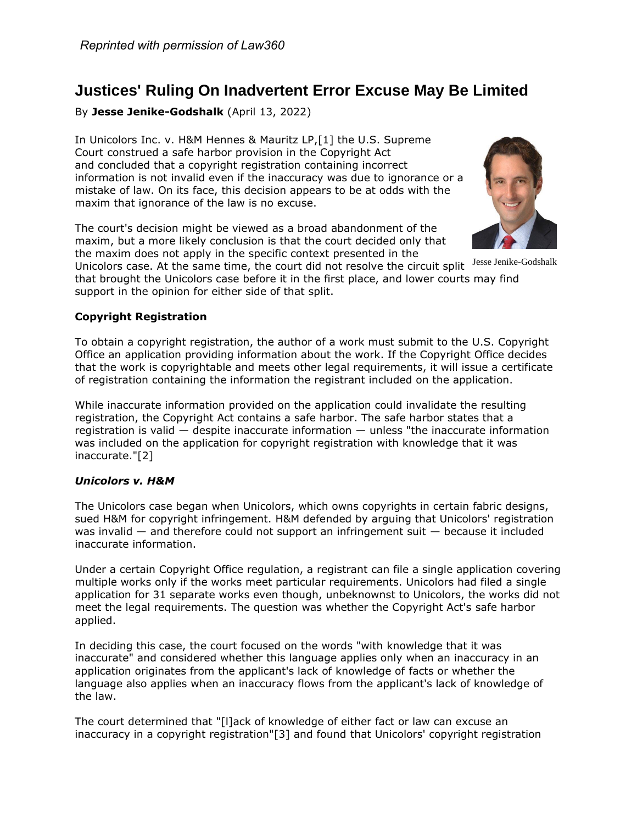# **Justices' Ruling On Inadvertent Error Excuse May Be Limited**

By **Jesse Jenike-Godshalk** (April 13, 2022)

In Unicolors Inc. v. [H&M Hennes & Mauritz LP,](https://www.law360.com/companies/h-m-hennes-mauritz-ab)[1] the [U.S. Supreme](https://www.law360.com/agencies/u-s-supreme-court)  [Court](https://www.law360.com/agencies/u-s-supreme-court) construed a safe harbor provision in the Copyright Act and [concluded](https://www.law360.com/articles/1468014) that a copyright registration containing incorrect information is not invalid even if the inaccuracy was due to ignorance or a mistake of law. On its face, this decision appears to be at odds with the maxim that ignorance of the law is no excuse.

The court's decision might be viewed as a broad abandonment of the maxim, but a more likely conclusion is that the court decided only that the maxim does not apply in the specific context presented in the



Unicolors case. At the same time, the court did not resolve the circuit split Jesse Jenike-Godshalk that brought the Unicolors case before it in the first place, and lower courts may find support in the opinion for either side of that split.

## **Copyright Registration**

To obtain a copyright registration, the author of a work must submit to the [U.S. Copyright](https://www.law360.com/agencies/u-s-copyright-office)  [Office](https://www.law360.com/agencies/u-s-copyright-office) an application providing information about the work. If the Copyright Office decides that the work is copyrightable and meets other legal requirements, it will issue a certificate of registration containing the information the registrant included on the application.

While inaccurate information provided on the application could invalidate the resulting registration, the Copyright Act contains a safe harbor. The safe harbor states that a registration is valid — despite inaccurate information — unless "the inaccurate information was included on the application for copyright registration with knowledge that it was inaccurate."[2]

## *Unicolors v. H&M*

The Unicolors case began when Unicolors, which owns copyrights in certain fabric designs, sued H&M for copyright infringement. H&M defended by arguing that Unicolors' registration was invalid — and therefore could not support an infringement suit — because it included inaccurate information.

Under a certain Copyright Office regulation, a registrant can file a single application covering multiple works only if the works meet particular requirements. Unicolors had filed a single application for 31 separate works even though, unbeknownst to Unicolors, the works did not meet the legal requirements. The question was whether the Copyright Act's safe harbor applied.

In deciding this case, the court focused on the words "with knowledge that it was inaccurate" and considered whether this language applies only when an inaccuracy in an application originates from the applicant's lack of knowledge of facts or whether the language also applies when an inaccuracy flows from the applicant's lack of knowledge of the law.

The court determined that "[l]ack of knowledge of either fact or law can excuse an inaccuracy in a copyright registration"[3] and found that Unicolors' copyright registration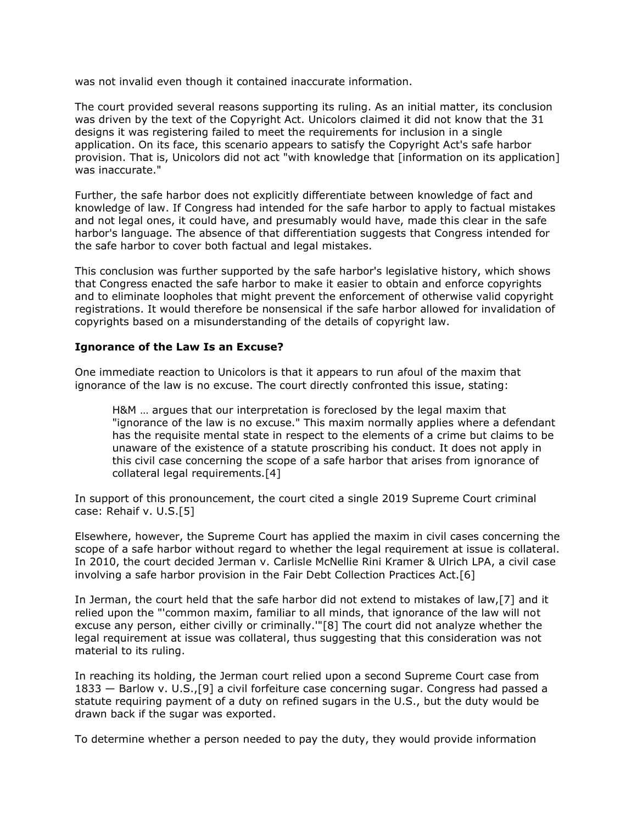was not invalid even though it contained inaccurate information.

The court provided several reasons supporting its ruling. As an initial matter, its conclusion was driven by the text of the Copyright Act. Unicolors claimed it did not know that the 31 designs it was registering failed to meet the requirements for inclusion in a single application. On its face, this scenario appears to satisfy the Copyright Act's safe harbor provision. That is, Unicolors did not act "with knowledge that [information on its application] was inaccurate."

Further, the safe harbor does not explicitly differentiate between knowledge of fact and knowledge of law. If Congress had intended for the safe harbor to apply to factual mistakes and not legal ones, it could have, and presumably would have, made this clear in the safe harbor's language. The absence of that differentiation suggests that Congress intended for the safe harbor to cover both factual and legal mistakes.

This conclusion was further supported by the safe harbor's legislative history, which shows that Congress enacted the safe harbor to make it easier to obtain and enforce copyrights and to eliminate loopholes that might prevent the enforcement of otherwise valid copyright registrations. It would therefore be nonsensical if the safe harbor allowed for invalidation of copyrights based on a misunderstanding of the details of copyright law.

#### **Ignorance of the Law Is an Excuse?**

One immediate reaction to Unicolors is that it appears to run afoul of the maxim that ignorance of the law is no excuse. The court directly confronted this issue, stating:

H&M … argues that our interpretation is foreclosed by the legal maxim that "ignorance of the law is no excuse." This maxim normally applies where a defendant has the requisite mental state in respect to the elements of a crime but claims to be unaware of the existence of a statute proscribing his conduct. It does not apply in this civil case concerning the scope of a safe harbor that arises from ignorance of collateral legal requirements.[4]

In support of this pronouncement, the court cited a single 2019 Supreme Court criminal case: Rehaif v. U.S.[5]

Elsewhere, however, the Supreme Court has applied the maxim in civil cases concerning the scope of a safe harbor without regard to whether the legal requirement at issue is collateral. In 2010, the court decided Jerman v. [Carlisle McNellie Rini Kramer & Ulrich LPA,](https://www.law360.com/firms/carlisle-mcnellie) a civil case involving a safe harbor provision in the Fair Debt Collection Practices Act.[6]

In Jerman, the court held that the safe harbor did not extend to mistakes of law,[7] and it relied upon the "'common maxim, familiar to all minds, that ignorance of the law will not excuse any person, either civilly or criminally.'"[8] The court did not analyze whether the legal requirement at issue was collateral, thus suggesting that this consideration was not material to its ruling.

In reaching its holding, the Jerman court relied upon a second Supreme Court case from 1833 — Barlow v. U.S.,[9] a civil forfeiture case concerning sugar. Congress had passed a statute requiring payment of a duty on refined sugars in the U.S., but the duty would be drawn back if the sugar was exported.

To determine whether a person needed to pay the duty, they would provide information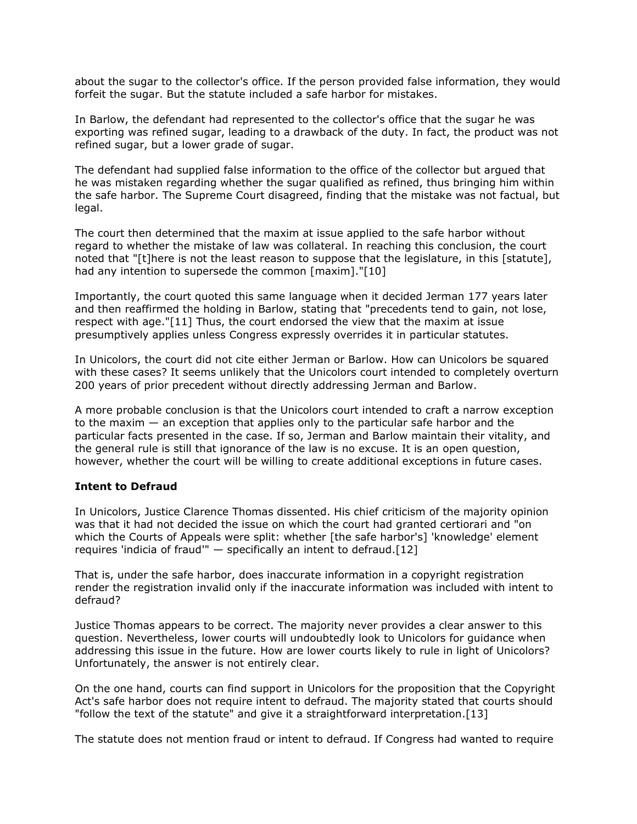about the sugar to the collector's office. If the person provided false information, they would forfeit the sugar. But the statute included a safe harbor for mistakes.

In Barlow, the defendant had represented to the collector's office that the sugar he was exporting was refined sugar, leading to a drawback of the duty. In fact, the product was not refined sugar, but a lower grade of sugar.

The defendant had supplied false information to the office of the collector but argued that he was mistaken regarding whether the sugar qualified as refined, thus bringing him within the safe harbor. The Supreme Court disagreed, finding that the mistake was not factual, but legal.

The court then determined that the maxim at issue applied to the safe harbor without regard to whether the mistake of law was collateral. In reaching this conclusion, the court noted that "[t]here is not the least reason to suppose that the legislature, in this [statute], had any intention to supersede the common [maxim]."[10]

Importantly, the court quoted this same language when it decided Jerman 177 years later and then reaffirmed the holding in Barlow, stating that "precedents tend to gain, not lose, respect with age."[11] Thus, the court endorsed the view that the maxim at issue presumptively applies unless Congress expressly overrides it in particular statutes.

In Unicolors, the court did not cite either Jerman or Barlow. How can Unicolors be squared with these cases? It seems unlikely that the Unicolors court intended to completely overturn 200 years of prior precedent without directly addressing Jerman and Barlow.

A more probable conclusion is that the Unicolors court intended to craft a narrow exception to the maxim — an exception that applies only to the particular safe harbor and the particular facts presented in the case. If so, Jerman and Barlow maintain their vitality, and the general rule is still that ignorance of the law is no excuse. It is an open question, however, whether the court will be willing to create additional exceptions in future cases.

#### **Intent to Defraud**

In Unicolors, Justice Clarence Thomas dissented. His chief criticism of the majority opinion was that it had not decided the issue on which the court had granted certiorari and "on which the Courts of Appeals were split: whether [the safe harbor's] 'knowledge' element requires 'indicia of fraud'" — specifically an intent to defraud.[12]

That is, under the safe harbor, does inaccurate information in a copyright registration render the registration invalid only if the inaccurate information was included with intent to defraud?

Justice Thomas appears to be correct. The majority never provides a clear answer to this question. Nevertheless, lower courts will undoubtedly look to Unicolors for guidance when addressing this issue in the future. How are lower courts likely to rule in light of Unicolors? Unfortunately, the answer is not entirely clear.

On the one hand, courts can find support in Unicolors for the proposition that the Copyright Act's safe harbor does not require intent to defraud. The majority stated that courts should "follow the text of the statute" and give it a straightforward interpretation.[13]

The statute does not mention fraud or intent to defraud. If Congress had wanted to require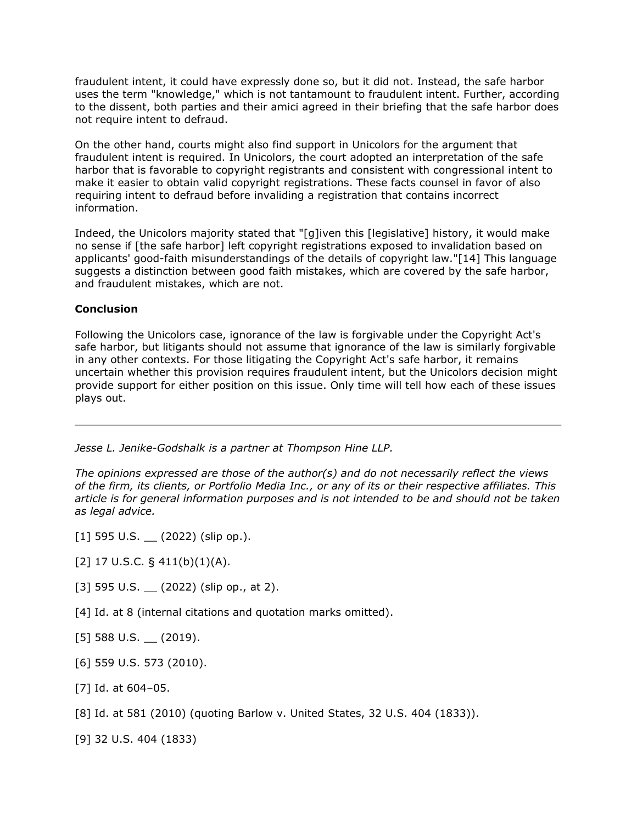fraudulent intent, it could have expressly done so, but it did not. Instead, the safe harbor uses the term "knowledge," which is not tantamount to fraudulent intent. Further, according to the dissent, both parties and their amici agreed in their briefing that the safe harbor does not require intent to defraud.

On the other hand, courts might also find support in Unicolors for the argument that fraudulent intent is required. In Unicolors, the court adopted an interpretation of the safe harbor that is favorable to copyright registrants and consistent with congressional intent to make it easier to obtain valid copyright registrations. These facts counsel in favor of also requiring intent to defraud before invaliding a registration that contains incorrect information.

Indeed, the Unicolors majority stated that "[g]iven this [legislative] history, it would make no sense if [the safe harbor] left copyright registrations exposed to invalidation based on applicants' good-faith misunderstandings of the details of copyright law."[14] This language suggests a distinction between good faith mistakes, which are covered by the safe harbor, and fraudulent mistakes, which are not.

### **Conclusion**

Following the Unicolors case, ignorance of the law is forgivable under the Copyright Act's safe harbor, but litigants should not assume that ignorance of the law is similarly forgivable in any other contexts. For those litigating the Copyright Act's safe harbor, it remains uncertain whether this provision requires fraudulent intent, but the Unicolors decision might provide support for either position on this issue. Only time will tell how each of these issues plays out.

*[Jesse L. Jenike-Godshalk](https://www.thompsonhine.com/professionals/jenike-godshalk-jesse) is a partner at [Thompson Hine LLP.](https://www.law360.com/firms/thompson-hine)*

*The opinions expressed are those of the author(s) and do not necessarily reflect the views of the firm, its clients, or Portfolio Media Inc., or any of its or their respective affiliates. This article is for general information purposes and is not intended to be and should not be taken as legal advice.*

- $[1]$  595 U.S.  $(2022)$  (slip op.).
- [2] 17 U.S.C.  $\S$  411(b)(1)(A).
- [3] 595 U.S.  $(2022)$  (slip op., at 2).
- [4] Id. at 8 (internal citations and quotation marks omitted).
- $[5]$  588 U.S.  $(2019)$ .
- [6] [559 U.S. 573](https://advance.lexis.com/api/search?q=559%20U.S.%20573&qlang=bool&origination=law360&internalOrigination=article_id%3D1482461%3Bcitation%3D559%20U.S.%20573&originationDetail=headline%3DJustices%27%20Ruling%20On%20Inadvertent%20Error%20Excuse%20May%20Be%20Limited&) (2010).
- [7] Id. at 604–05.
- [8] Id. at 581 (2010) (quoting Barlow v. United States, 32 U.S. 404 (1833)).
- [9] [32 U.S. 404](https://advance.lexis.com/api/search?q=32%20U.S.%20404&qlang=bool&origination=law360&internalOrigination=article_id%3D1482461%3Bcitation%3D32%20U.S.%20404&originationDetail=headline%3DJustices%27%20Ruling%20On%20Inadvertent%20Error%20Excuse%20May%20Be%20Limited&) (1833)